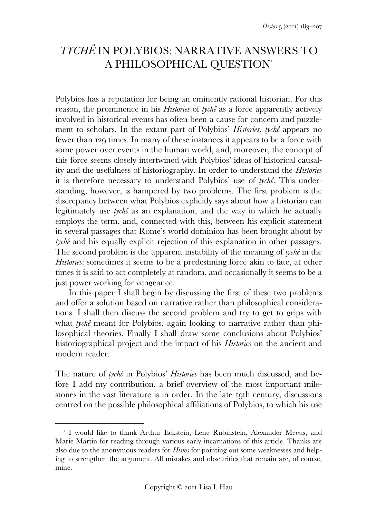# *TYCHÊ* IN POLYBIOS: NARRATIVE ANSWERS TO A PHILOSOPHICAL QUESTION

Polybios has a reputation for being an eminently rational historian. For this reason, the prominence in his *Histories* of *tychê* as a force apparently actively involved in historical events has often been a cause for concern and puzzlement to scholars. In the extant part of Polybios' *Histories*, *tychê* appears no fewer than 129 times. In many of these instances it appears to be a force with some power over events in the human world, and, moreover, the concept of this force seems closely intertwined with Polybios' ideas of historical causality and the usefulness of historiography. In order to understand the *Histories* it is therefore necessary to understand Polybios' use of *tychê*. This understanding, however, is hampered by two problems. The first problem is the discrepancy between what Polybios explicitly says about how a historian can legitimately use *tychê* as an explanation, and the way in which he actually employs the term, and, connected with this, between his explicit statement in several passages that Rome's world dominion has been brought about by *tychê* and his equally explicit rejection of this explanation in other passages. The second problem is the apparent instability of the meaning of *tychê* in the *Histories*: sometimes it seems to be a predestining force akin to fate, at other times it is said to act completely at random, and occasionally it seems to be a just power working for vengeance.

 In this paper I shall begin by discussing the first of these two problems and offer a solution based on narrative rather than philosophical considerations. I shall then discuss the second problem and try to get to grips with what *tychê* meant for Polybios, again looking to narrative rather than philosophical theories. Finally I shall draw some conclusions about Polybios' historiographical project and the impact of his *Histories* on the ancient and modern reader.

The nature of *tychê* in Polybios' *Histories* has been much discussed, and before I add my contribution, a brief overview of the most important milestones in the vast literature is in order. In the late 19th century, discussions centred on the possible philosophical affiliations of Polybios, to which his use

 $\overline{a}$ I would like to thank Arthur Eckstein, Lene Rubinstein, Alexander Meeus, and Marie Martin for reading through various early incarnations of this article. Thanks are also due to the anonymous readers for *Histos* for pointing out some weaknesses and helping to strengthen the argument. All mistakes and obscurities that remain are, of course, mine.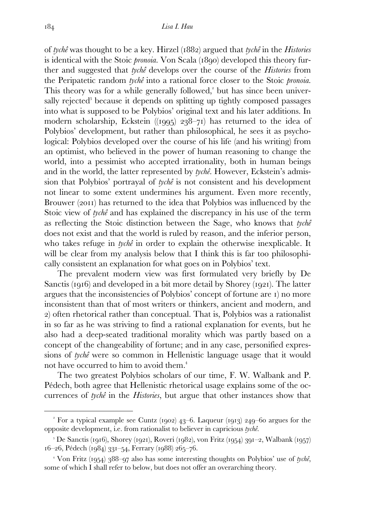of *tychê* was thought to be a key. Hirzel () argued that *tychê* in the *Histories* is identical with the Stoic *pronoia*. Von Scala (1890) developed this theory further and suggested that *tychê* develops over the course of the *Histories* from the Peripatetic random *tychê* into a rational force closer to the Stoic *pronoia*. This theory was for a while generally followed,<sup>2</sup> but has since been universally rejected<sup>3</sup> because it depends on splitting up tightly composed passages into what is supposed to be Polybios' original text and his later additions. In modern scholarship, Eckstein ((1995)  $238-71$ ) has returned to the idea of Polybios' development, but rather than philosophical, he sees it as psychological: Polybios developed over the course of his life (and his writing) from an optimist, who believed in the power of human reasoning to change the world, into a pessimist who accepted irrationality, both in human beings and in the world, the latter represented by *tychê*. However, Eckstein's admission that Polybios' portrayal of *tychê* is not consistent and his development not linear to some extent undermines his argument. Even more recently, Brouwer (2011) has returned to the idea that Polybios was influenced by the Stoic view of *tychê* and has explained the discrepancy in his use of the term as reflecting the Stoic distinction between the Sage, who knows that *tychê* does not exist and that the world is ruled by reason, and the inferior person, who takes refuge in *tychê* in order to explain the otherwise inexplicable. It will be clear from my analysis below that I think this is far too philosophically consistent an explanation for what goes on in Polybios' text.

 The prevalent modern view was first formulated very briefly by De Sanctis ( $1916$ ) and developed in a bit more detail by Shorey ( $1921$ ). The latter argues that the inconsistencies of Polybios' concept of fortune are ) no more inconsistent than that of most writers or thinkers, ancient and modern, and ) often rhetorical rather than conceptual. That is, Polybios was a rationalist in so far as he was striving to find a rational explanation for events, but he also had a deep-seated traditional morality which was partly based on a concept of the changeability of fortune; and in any case, personified expressions of *tychê* were so common in Hellenistic language usage that it would not have occurred to him to avoid them.

 The two greatest Polybios scholars of our time, F. W. Walbank and P. Pédech, both agree that Hellenistic rhetorical usage explains some of the occurrences of *tychê* in the *Histories*, but argue that other instances show that

For a typical example see Cuntz (1902)  $43-6$ . Laqueur (1913) 249-60 argues for the opposite development, i.e. from rationalist to believer in capricious *tychê*.

<sup>&</sup>lt;sup>3</sup> De Sanctis (1916), Shorey (1921), Roveri (1982), von Fritz (1954) 391–2, Walbank (1957)  $16-26$ , Pédech (1984) 331-54, Ferrary (1988) 265-76.

<sup>&</sup>lt;sup>4</sup> Von Fritz (1954) 388–97 also has some interesting thoughts on Polybios' use of *tychê*, some of which I shall refer to below, but does not offer an overarching theory.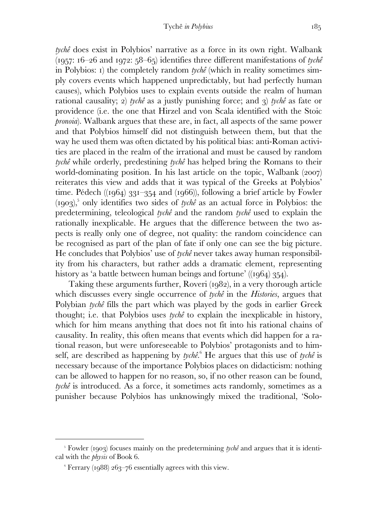*tychê* does exist in Polybios' narrative as a force in its own right. Walbank  $(1957: 16-26$  and  $1972: 58-65$  identifies three different manifestations of *tychê* in Polybios: ) the completely random *tychê* (which in reality sometimes simply covers events which happened unpredictably, but had perfectly human causes), which Polybios uses to explain events outside the realm of human rational causality; 2) *tychê* as a justly punishing force; and 3) *tychê* as fate or providence (i.e. the one that Hirzel and von Scala identified with the Stoic *pronoia*). Walbank argues that these are, in fact, all aspects of the same power and that Polybios himself did not distinguish between them, but that the way he used them was often dictated by his political bias: anti-Roman activities are placed in the realm of the irrational and must be caused by random *tychê* while orderly, predestining *tychê* has helped bring the Romans to their world-dominating position. In his last article on the topic, Walbank  $(2007)$ reiterates this view and adds that it was typical of the Greeks at Polybios' time. Pédech  $((1964)$  331–354 and  $(1966)$ , following a brief article by Fowler  $(1903)<sup>5</sup>$  only identifies two sides of *tychê* as an actual force in Polybios: the predetermining, teleological *tychê* and the random *tychê* used to explain the rationally inexplicable. He argues that the difference between the two aspects is really only one of degree, not quality: the random coincidence can be recognised as part of the plan of fate if only one can see the big picture. He concludes that Polybios' use of *tychê* never takes away human responsibility from his characters, but rather adds a dramatic element, representing history as 'a battle between human beings and fortune' ( $(q64)$  354).

Taking these arguments further, Roveri  $(1082)$ , in a very thorough article which discusses every single occurrence of *tychê* in the *Histories*, argues that Polybian *tychê* fills the part which was played by the gods in earlier Greek thought; i.e. that Polybios uses *tychê* to explain the inexplicable in history, which for him means anything that does not fit into his rational chains of causality. In reality, this often means that events which did happen for a rational reason, but were unforeseeable to Polybios' protagonists and to himself, are described as happening by *tychê*. He argues that this use of *tychê* is necessary because of the importance Polybios places on didacticism: nothing can be allowed to happen for no reason, so, if no other reason can be found, *tychê* is introduced. As a force, it sometimes acts randomly, sometimes as a punisher because Polybios has unknowingly mixed the traditional, 'Solo-

<sup>&</sup>lt;sup>5</sup> Fowler (1903) focuses mainly on the predetermining *tychê* and argues that it is identical with the *physis* of Book 6.

 $\degree$  Ferrary (1988) 263–76 essentially agrees with this view.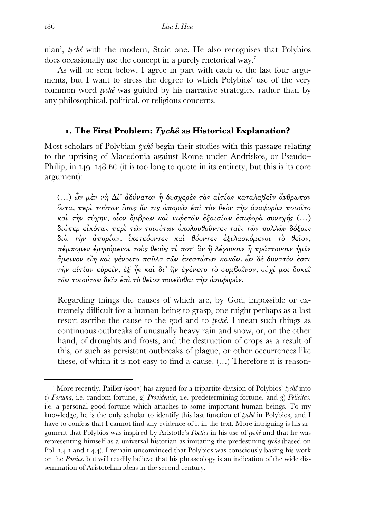nian', *tychê* with the modern, Stoic one. He also recognises that Polybios does occasionally use the concept in a purely rhetorical way.

 As will be seen below, I agree in part with each of the last four arguments, but I want to stress the degree to which Polybios' use of the very common word *tychê* was guided by his narrative strategies, rather than by any philosophical, political, or religious concerns.

### **. The First Problem:** *Tychê* **as Historical Explanation?**

Most scholars of Polybian *tychê* begin their studies with this passage relating to the uprising of Macedonia against Rome under Andriskos, or Pseudo– Philip, in  $I_4Q-I_48$  BC (it is too long to quote in its entirety, but this is its core argument):

(…) ὧν µὲν νὴ ∆ί' ἀδύνατον ἢ δυσχερὲς τὰς αἰτίας καταλαβεῖν ἄνθρωπον ὄντα, περὶ τούτων ἴσως ἄν τις ἀπορῶν ἐπὶ τὸν θεὸν τὴν ἀναφορὰν ποιοῖτο καὶ τὴν τύχην, οἶον ὄµβρων καὶ νιφετῶν ἐξαισίων ἐπιφορὰ συνεχής (…) διόπερ εἰκότως περὶ τῶν τοιούτων ἀκολουθοῦντες ταῖς τῶν πολλῶν δόξαις διὰ τὴν ἀπορίαν, ἱκετεύοντες καὶ θύοντες ἐξιλασκόµενοι τὸ θεῖον, πέµποµεν ἐρησόµενοι τοὺς θεοὺς τί ποτ' ἂν ἢ λέγουσιν ἢ πράττουσιν ἡµῖν ἄµεινον εἴη καὶ γένοιτο παῦλα τῶν ἐνεστώτων κακῶν. ὧν δὲ δυνατόν ἐστι τὴν αἰτίαν εὑρεῖν, ἐξ ἧς καὶ δι' ἣν ἐγένετο τὸ συµβαῖνον, οὐχί µοι δοκεῖ τῶν τοιούτων δεῖν ἐπὶ τὸ θεῖον ποιεῖσθαι τὴν ἀναφοράν.

Regarding things the causes of which are, by God, impossible or extremely difficult for a human being to grasp, one might perhaps as a last resort ascribe the cause to the god and to *tychê*. I mean such things as continuous outbreaks of unusually heavy rain and snow, or, on the other hand, of droughts and frosts, and the destruction of crops as a result of this, or such as persistent outbreaks of plague, or other occurrences like these, of which it is not easy to find a cause. (…) Therefore it is reason-

More recently, Pailler (2003) has argued for a tripartite division of Polybios' *tychê* into ) *Fortuna*, i.e. random fortune, ) *Providentia*, i.e. predetermining fortune, and ) *Felicitas*, i.e. a personal good fortune which attaches to some important human beings. To my knowledge, he is the only scholar to identify this last function of *tychê* in Polybios, and I have to confess that I cannot find any evidence of it in the text. More intriguing is his argument that Polybios was inspired by Aristotle's *Poetics* in his use of *tychê* and that he was representing himself as a universal historian as imitating the predestining *tychê* (based on Pol. 1.4.1 and 1.4.4). I remain unconvinced that Polybios was consciously basing his work on the *Poetics*, but will readily believe that his phraseology is an indication of the wide dissemination of Aristotelian ideas in the second century.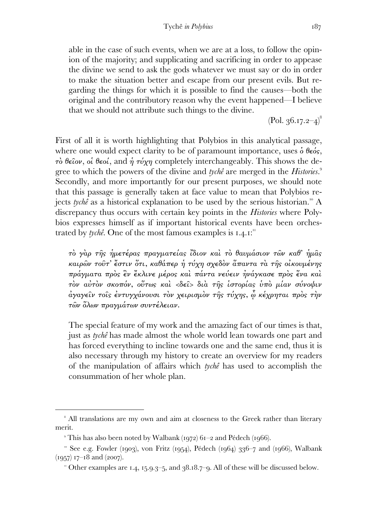able in the case of such events, when we are at a loss, to follow the opinion of the majority; and supplicating and sacrificing in order to appease the divine we send to ask the gods whatever we must say or do in order to make the situation better and escape from our present evils. But regarding the things for which it is possible to find the causes—both the original and the contributory reason why the event happened—I believe that we should not attribute such things to the divine.

 $(Pol. 36.17.2-4)^8$ 

First of all it is worth highlighting that Polybios in this analytical passage, where one would expect clarity to be of paramount importance, uses  $\delta \theta \epsilon \delta s$ ,  $\tau\dot{o}$  θεΐον, οἱ θεοί, and ή  $\tau\dot{o}$  row completely interchangeably. This shows the degree to which the powers of the divine and *tychê* are merged in the *Histories*. Secondly, and more importantly for our present purposes, we should note that this passage is generally taken at face value to mean that Polybios rejects *tychê* as a historical explanation to be used by the serious historian.<sup>"</sup> A discrepancy thus occurs with certain key points in the *Histories* where Polybios expresses himself as if important historical events have been orchestrated by *tychê*. One of the most famous examples is  $I.4.1$ .

τὸ γὰρ τῆς ἡµετέρας πραγµατείας ἴδιον καὶ τὸ θαυµάσιον τῶν καθ' ἡµᾶς καιρῶν τοῦτ' ἔστιν ὅτι, καθάπερ ἡ τύχη σχεδὸν ἅπαντα τὰ τῆς οἰκουµένης πράγµατα πρὸς ἓν ἔκλινε µέρος καὶ πάντα νεύειν ἠνάγκασε πρὸς ἕνα καὶ τὸν αὐτὸν σκοπόν, οὕτως καὶ <δεῖ> διὰ τῆς ἱστορίας ὑπὸ µίαν σύνοψιν ἀγαγεῖν τοῖς ἐντυγχάνουσι τὸν χειρισµὸν τῆς τύχης, ᾧ κέχρηται πρὸς τὴν τῶν ὅλων πραγµάτων συντέλειαν.

The special feature of my work and the amazing fact of our times is that, just as *tychê* has made almost the whole world lean towards one part and has forced everything to incline towards one and the same end, thus it is also necessary through my history to create an overview for my readers of the manipulation of affairs which *tychê* has used to accomplish the consummation of her whole plan.

<sup>&</sup>lt;sup>8</sup> All translations are my own and aim at closeness to the Greek rather than literary merit.

This has also been noted by Walbank (1972)  $61-2$  and Pédech (1966).

 $\degree$  See e.g. Fowler (1903), von Fritz (1954), Pédech (1964) 336-7 and (1966), Walbank  $(1957)$  17–18 and (2007).

<sup>&</sup>quot; Other examples are 1.4, 15.9.3-5, and  $38.18.7$ -9. All of these will be discussed below.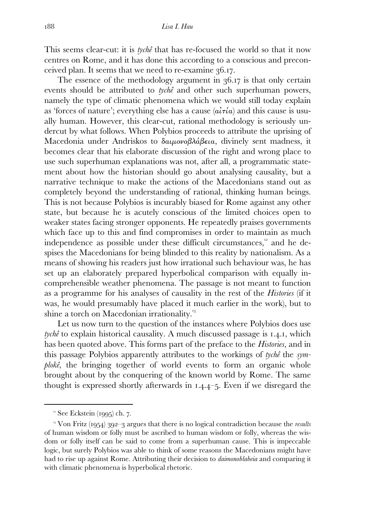This seems clear-cut: it is *tychê* that has re-focused the world so that it now centres on Rome, and it has done this according to a conscious and preconceived plan. It seems that we need to re-examine  $36.17$ .

The essence of the methodology argument in  $36.17$  is that only certain events should be attributed to *tychê* and other such superhuman powers, namely the type of climatic phenomena which we would still today explain as 'forces of nature'; everything else has a cause  $(a\tilde{i}\tau\tilde{i}a)$  and this cause is usually human. However, this clear-cut, rational methodology is seriously undercut by what follows. When Polybios proceeds to attribute the uprising of Macedonia under Andriskos to δαιμονοβλάβεια, divinely sent madness, it becomes clear that his elaborate discussion of the right and wrong place to use such superhuman explanations was not, after all, a programmatic statement about how the historian should go about analysing causality, but a narrative technique to make the actions of the Macedonians stand out as completely beyond the understanding of rational, thinking human beings. This is not because Polybios is incurably biased for Rome against any other state, but because he is acutely conscious of the limited choices open to weaker states facing stronger opponents. He repeatedly praises governments which face up to this and find compromises in order to maintain as much independence as possible under these difficult circumstances,<sup>12</sup> and he despises the Macedonians for being blinded to this reality by nationalism. As a means of showing his readers just how irrational such behaviour was, he has set up an elaborately prepared hyperbolical comparison with equally incomprehensible weather phenomena. The passage is not meant to function as a programme for his analyses of causality in the rest of the *Histories* (if it was, he would presumably have placed it much earlier in the work), but to shine a torch on Macedonian irrationality.<sup>13</sup>

Let us now turn to the question of the instances where Polybios does use *tychê* to explain historical causality. A much discussed passage is 1.4.1, which has been quoted above. This forms part of the preface to the *Histories*, and in this passage Polybios apparently attributes to the workings of *tychê* the *symplokê*, the bringing together of world events to form an organic whole brought about by the conquering of the known world by Rome. The same thought is expressed shortly afterwards in  $1.4.4-5$ . Even if we disregard the

 $\degree$  See Eckstein (1995) ch. 7.

<sup>&</sup>lt;sup>13</sup> Von Fritz (1954) 392-3 argues that there is no logical contradiction because the *results* of human wisdom or folly must be ascribed to human wisdom or folly, whereas the wisdom or folly itself can be said to come from a superhuman cause. This is impeccable logic, but surely Polybios was able to think of some reasons the Macedonians might have had to rise up against Rome. Attributing their decision to *daimonoblabeia* and comparing it with climatic phenomena is hyperbolical rhetoric.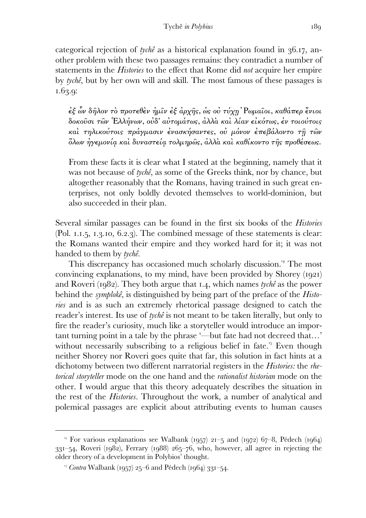categorical rejection of *tychê* as a historical explanation found in 36.17, another problem with these two passages remains: they contradict a number of statements in the *Histories* to the effect that Rome did *not* acquire her empire by *tychê*, but by her own will and skill. The most famous of these passages is 1.63.9:

ἐξ ὧν δῆλον τὸ προτεθὲν ἡµῖν ἐξ ἀρχῆς, ὡς οὐ τύχῃ ʇΡωµαῖοι, καθάπερ ἔνιοι δοκοῦσι τῶν ῾Ελλήνων, οὐδ' αὐτοµάτως, ἀλλὰ καὶ λίαν εἰκότως, ἐν τοιούτοις καί τηλικούτοις πράγμασιν ένασκήσαντες, ού μόνον έπεβάλοντο τη τῶν ὅλων ἡγεµονίᾳ καὶ δυναστείᾳ τολµηρῶς, ἀλλὰ καὶ καθίκοντο τῆς προθέσεως.

From these facts it is clear what I stated at the beginning, namely that it was not because of *tychê*, as some of the Greeks think, nor by chance, but altogether reasonably that the Romans, having trained in such great enterprises, not only boldly devoted themselves to world-dominion, but also succeeded in their plan.

Several similar passages can be found in the first six books of the *Histories*   $(Pol. I.I.5, I.3.10, 6.2.3).$  The combined message of these statements is clear: the Romans wanted their empire and they worked hard for it; it was not handed to them by *tychê*.

This discrepancy has occasioned much scholarly discussion.<sup>14</sup> The most convincing explanations, to my mind, have been provided by Shorey  $(iqq)$ and Roveri (1982). They both argue that 1.4, which names *tychê* as the power behind the *symplokê*, is distinguished by being part of the preface of the *Histories* and is as such an extremely rhetorical passage designed to catch the reader's interest. Its use of *tychê* is not meant to be taken literally, but only to fire the reader's curiosity, much like a storyteller would introduce an important turning point in a tale by the phrase '—but fate had not decreed that…' without necessarily subscribing to a religious belief in fate.<sup> $5$ </sup> Even though neither Shorey nor Roveri goes quite that far, this solution in fact hints at a dichotomy between two different narratorial registers in the *Histories:* the *rhetorical storyteller* mode on the one hand and the *rationalist historian* mode on the other. I would argue that this theory adequately describes the situation in the rest of the *Histories*. Throughout the work, a number of analytical and polemical passages are explicit about attributing events to human causes

<sup>&</sup>lt;sup>4</sup> For various explanations see Walbank (1957) 21–5 and (1972) 67–8, Pédech (1964)  $331-54$ , Roveri (1982), Ferrary (1988)  $265-76$ , who, however, all agree in rejecting the older theory of a development in Polybios' thought.

<sup>&</sup>lt;sup>15</sup> *Contra* Walbank (1957) 25–6 and Pédech (1964) 331–54.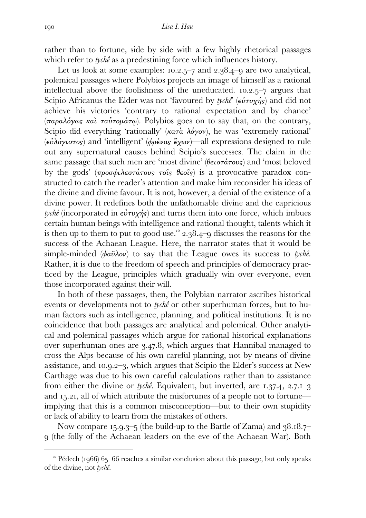rather than to fortune, side by side with a few highly rhetorical passages which refer to *tychê* as a predestining force which influences history.

Let us look at some examples:  $10.2.5-7$  and  $2.38.4-9$  are two analytical, polemical passages where Polybios projects an image of himself as a rational intellectual above the foolishness of the uneducated.  $10.2.5-7$  argues that Scipio Africanus the Elder was not 'favoured by *tychê*' (εὐτυχής) and did not achieve his victories 'contrary to rational expectation and by chance' (παραλόγως καὶ ταὐτομάτω). Polybios goes on to say that, on the contrary, Scipio did everything 'rationally' ( $\kappa a \tau \dot{a} \lambda \dot{\alpha} \gamma \dot{\alpha} \nu$ ), he was 'extremely rational' (εὐλόγιστος) and 'intelligent' (φρένας ἔχων)—all expressions designed to rule out any supernatural causes behind Scipio's successes. The claim in the same passage that such men are 'most divine' (θειοτάτους) and 'most beloved by the gods'  $(\pi \rho \circ \sigma \phi \iota)$  *(προσφιλεστάτους τοῖς θεοῖς)* is a provocative paradox constructed to catch the reader's attention and make him reconsider his ideas of the divine and divine favour. It is not, however, a denial of the existence of a divine power. It redefines both the unfathomable divine and the capricious *tychê* (incorporated in  $\epsilon \dot{v} \tau v \chi \eta s$ ) and turns them into one force, which imbues certain human beings with intelligence and rational thought, talents which it is then up to them to put to good use.<sup> $16$ </sup> 2.38.4–9 discusses the reasons for the success of the Achaean League. Here, the narrator states that it would be simple-minded (φαῦλον) to say that the League owes its success to *tychê*. Rather, it is due to the freedom of speech and principles of democracy practiced by the League, principles which gradually win over everyone, even those incorporated against their will.

 In both of these passages, then, the Polybian narrator ascribes historical events or developments not to *tychê* or other superhuman forces, but to human factors such as intelligence, planning, and political institutions. It is no coincidence that both passages are analytical and polemical. Other analytical and polemical passages which argue for rational historical explanations over superhuman ones are 3.47.8, which argues that Hannibal managed to cross the Alps because of his own careful planning, not by means of divine assistance, and  $10.9.2-3$ , which argues that Scipio the Elder's success at New Carthage was due to his own careful calculations rather than to assistance from either the divine or *tychê*. Equivalent, but inverted, are  $1.37.4$ ,  $2.7.1-3$ and  $15.21$ , all of which attribute the misfortunes of a people not to fortune implying that this is a common misconception—but to their own stupidity or lack of ability to learn from the mistakes of others.

Now compare 15.9.3–5 (the build-up to the Battle of Zama) and  $38.18.7$ – (the folly of the Achaean leaders on the eve of the Achaean War). Both

<sup>&</sup>lt;sup>16</sup> Pédech (1966) 65–66 reaches a similar conclusion about this passage, but only speaks of the divine, not *tychê*.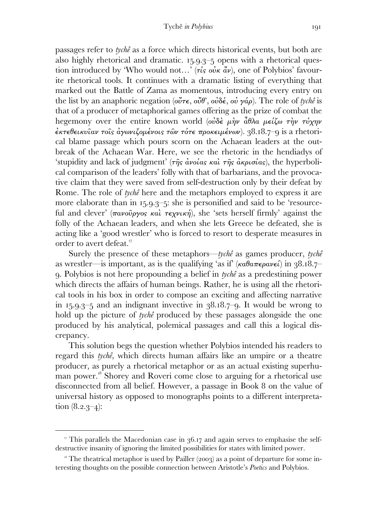passages refer to *tychê* as a force which directs historical events, but both are also highly rhetorical and dramatic.  $15.9.3-5$  opens with a rhetorical question introduced by 'Who would not...' ( $\tau$ *is*  $\omega'$ *i* $\alpha$ <sup>*i*</sup> $\nu$ </sup>), one of Polybios' favourite rhetorical tools. It continues with a dramatic listing of everything that marked out the Battle of Zama as momentous, introducing every entry on the list by an anaphoric negation (οὔτε, οὔθ', οὐδέ, οὐ γάρ). The role of *tychê* is that of a producer of metaphorical games offering as the prize of combat the hegemony over the entire known world (οὐδε μὴν ἆθλα μείζω τὴν τύχην  $\dot{\epsilon}$ κτεθεικυΐαν τοΐς αγωνιζομένοις τῶν τότε προκειμένων).  $38.18.7 - 9$  is a rhetorical blame passage which pours scorn on the Achaean leaders at the outbreak of the Achaean War. Here, we see the rhetoric in the hendiadys of 'stupidity and lack of judgment' ( $\tau \hat{\eta} s$  ανοίας καὶ  $\tau \hat{\eta} s$  ακρισίας), the hyperbolical comparison of the leaders' folly with that of barbarians, and the provocative claim that they were saved from self-destruction only by their defeat by Rome. The role of *tychê* here and the metaphors employed to express it are more elaborate than in  $15.9.3-5$ : she is personified and said to be 'resourceful and clever' (πανοῦργος καὶ τεχνική), she 'sets herself firmly' against the folly of the Achaean leaders, and when she lets Greece be defeated, she is acting like a 'good wrestler' who is forced to resort to desperate measures in order to avert defeat.

 Surely the presence of these metaphors—*tychê* as games producer, *tychê* as wrestler—is important, as is the qualifying 'as if' (καθαπερανεί) in ..– . Polybios is not here propounding a belief in *tychê* as a predestining power which directs the affairs of human beings. Rather, he is using all the rhetorical tools in his box in order to compose an exciting and affecting narrative in  $15.9.3-5$  and an indignant invective in  $38.18.7-9$ . It would be wrong to hold up the picture of *tychê* produced by these passages alongside the one produced by his analytical, polemical passages and call this a logical discrepancy.

 This solution begs the question whether Polybios intended his readers to regard this *tychê*, which directs human affairs like an umpire or a theatre producer, as purely a rhetorical metaphor or as an actual existing superhuman power. Shorey and Roveri come close to arguing for a rhetorical use disconnected from all belief. However, a passage in Book 8 on the value of universal history as opposed to monographs points to a different interpretation  $(8.2.3-4)$ :

 $\overline{r}$ . This parallels the Macedonian case in  $36.17$  and again serves to emphasise the selfdestructive insanity of ignoring the limited possibilities for states with limited power.

 $\alpha$ <sup>8</sup> The theatrical metaphor is used by Pailler (2003) as a point of departure for some interesting thoughts on the possible connection between Aristotle's *Poetics* and Polybios.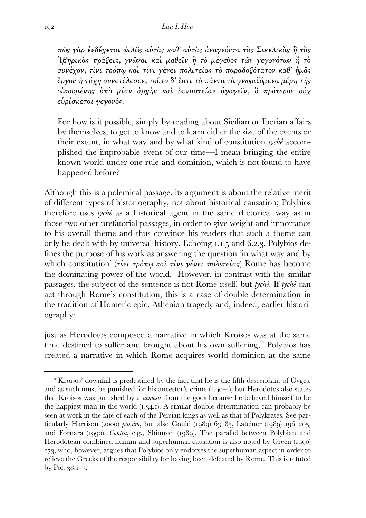πῶς γὰρ ἐνδέχεται ψιλῶς αὐτὰς καθ' αὑτὰς ἀναγνόντα τὰς Σικελικὰς ἢ τὰς Ἰβηρικὰς πράξεις, γνῶναι καὶ µαθεῖν ἢ τὸ µέγεθος τῶν γεγονότων ἢ τὸ συνέχον, τίνι τρόπῳ καὶ τίνι γένει πολιτείας τὸ παραδοξότατον καθ' ἡµᾶς ἔργον ἡ τύχη συνετέλεσεν, τοῦτο δ' ἔστι τὸ πάντα τὰ γνωριζόµενα µέρη τῆς οἰκουµένης ὑπὸ µίαν ἀρχὴν καὶ δυναστείαν ἀγαγεῖν, ὃ πρότερον οὐχ εὑρίσκεται γεγονός.

For how is it possible, simply by reading about Sicilian or Iberian affairs by themselves, to get to know and to learn either the size of the events or their extent, in what way and by what kind of constitution *tychê* accomplished the improbable event of our time—I mean bringing the entire known world under one rule and dominion, which is not found to have happened before?

Although this is a polemical passage, its argument is about the relative merit of different types of historiography, not about historical causation; Polybios therefore uses *tychê* as a historical agent in the same rhetorical way as in those two other prefatorial passages, in order to give weight and importance to his overall theme and thus convince his readers that such a theme can only be dealt with by universal history. Echoing  $1.1.5$  and  $6.2.3$ , Polybios defines the purpose of his work as answering the question 'in what way and by which constitution' (τίνι τρόπω καὶ τίνι γένει πολιτείας) Rome has become the dominating power of the world. However, in contrast with the similar passages, the subject of the sentence is not Rome itself, but *tychê*. If *tychê* can act through Rome's constitution, this is a case of double determination in the tradition of Homeric epic, Athenian tragedy and, indeed, earlier historiography:

just as Herodotos composed a narrative in which Kroisos was at the same time destined to suffer and brought about his own suffering,<sup>19</sup> Polybios has created a narrative in which Rome acquires world dominion at the same

<sup>&</sup>lt;sup>19</sup> Kroisos' downfall is predestined by the fact that he is the fifth descendant of Gyges, and as such must be punished for his ancestor's crime  $(1.90-1)$ , but Herodotos also states that Kroisos was punished by a *nemesis* from the gods because he believed himself to be the happiest man in the world  $(1.34.1)$ . A similar double determination can probably be seen at work in the fate of each of the Persian kings as well as that of Polykrates. See particularly Harrison (2000) *passim*, but also Gould ( $1989$ )  $63-85$ , Lateiner ( $1989$ )  $196-205$ , and Fornara (1990). *Contra*, e.g., Shimron (1989). The parallel between Polybian and Herodotean combined human and superhuman causation is also noted by Green (1990) , who, however, argues that Polybios only endorses the superhuman aspect in order to relieve the Greeks of the responsibility for having been defeated by Rome. This is refuted by Pol.  $38.1 - 3$ .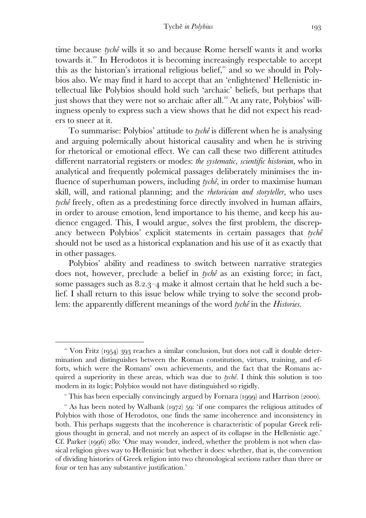time because *tychê* wills it so and because Rome herself wants it and works towards it.<sup>20</sup> In Herodotos it is becoming increasingly respectable to accept this as the historian's irrational religious belief,<sup>21</sup> and so we should in Polybios also. We may find it hard to accept that an 'enlightened' Hellenistic intellectual like Polybios should hold such 'archaic' beliefs, but perhaps that just shows that they were not so archaic after all.<sup> $2$ </sup> At any rate, Polybios' willingness openly to express such a view shows that he did not expect his readers to sneer at it.

 To summarise: Polybios' attitude to *tychê* is different when he is analysing and arguing polemically about historical causality and when he is striving for rhetorical or emotional effect. We can call these two different attitudes different narratorial registers or modes: *the systematic, scientific historian,* who in analytical and frequently polemical passages deliberately minimises the influence of superhuman powers, including *tychê*, in order to maximise human skill, will, and rational planning; and the *rhetorician and storyteller,* who uses *tychê* freely, often as a predestining force directly involved in human affairs, in order to arouse emotion, lend importance to his theme, and keep his audience engaged. This, I would argue, solves the first problem, the discrepancy between Polybios' explicit statements in certain passages that *tychê* should not be used as a historical explanation and his use of it as exactly that in other passages.

 Polybios' ability and readiness to switch between narrative strategies does not, however, preclude a belief in *tychê* as an existing force; in fact, some passages such as  $8.2.3-4$  make it almost certain that he held such a belief. I shall return to this issue below while trying to solve the second problem: the apparently different meanings of the word *tychê* in the *Histories*.

<sup>•</sup> Von Fritz (1954) 393 reaches a similar conclusion, but does not call it double determination and distinguishes between the Roman constitution, virtues, training, and efforts, which were the Romans' own achievements, and the fact that the Romans acquired a superiority in these areas, which was due to *tychê*. I think this solution is too modern in its logic; Polybios would not have distinguished so rigidly.

 $\degree$  This has been especially convincingly argued by Fornara (1999) and Harrison (2000).

 $\alpha$  As has been noted by Walbank (1972) 59: 'if one compares the religious attitudes of Polybios with those of Herodotos, one finds the same incoherence and inconsistency in both. This perhaps suggests that the incoherence is characteristic of popular Greek religious thought in general, and not merely an aspect of its collapse in the Hellenistic age.' Cf. Parker ( $1996$ )  $280$ : 'One may wonder, indeed, whether the problem is not when classical religion gives way to Hellenistic but whether it does: whether, that is, the convention of dividing histories of Greek religion into two chronological sections rather than three or four or ten has any substantive justification.'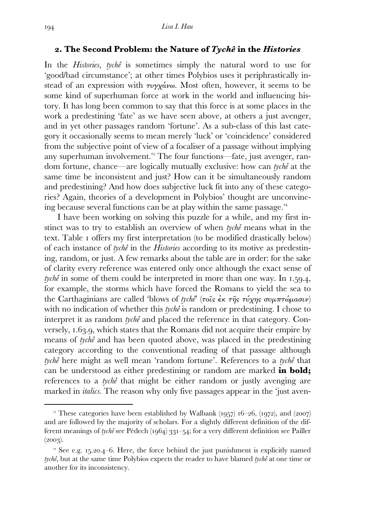#### **. The Second Problem: the Nature of** *Tychê* **in the** *Histories*

In the *Histories*, *tychê* is sometimes simply the natural word to use for 'good/bad circumstance'; at other times Polybios uses it periphrastically instead of an expression with  $\tau \nu \gamma \chi \dot{\alpha} \nu \omega$ . Most often, however, it seems to be some kind of superhuman force at work in the world and influencing history. It has long been common to say that this force is at some places in the work a predestining 'fate' as we have seen above, at others a just avenger, and in yet other passages random 'fortune'. As a sub-class of this last category it occasionally seems to mean merely 'luck' or 'coincidence' considered from the subjective point of view of a focaliser of a passage without implying any superhuman involvement.<sup>23</sup> The four functions—fate, just avenger, random fortune, chance—are logically mutually exclusive: how can *tychê* at the same time be inconsistent and just? How can it be simultaneously random and predestining? And how does subjective luck fit into any of these categories? Again, theories of a development in Polybios' thought are unconvincing because several functions can be at play within the same passage.

 I have been working on solving this puzzle for a while, and my first instinct was to try to establish an overview of when *tychê* means what in the text. Table I offers my first interpretation (to be modified drastically below) of each instance of *tychê* in the *Histories* according to its motive as predestining, random, or just. A few remarks about the table are in order: for the sake of clarity every reference was entered only once although the exact sense of *tychê* in some of them could be interpreted in more than one way. In 1.59.4, for example, the storms which have forced the Romans to yield the sea to the Carthaginians are called 'blows of *tychê*' (τοῖς ἐκ τῆς τύχης συµπτώµασιν) with no indication of whether this *tychê* is random or predestining. I chose to interpret it as random *tychê* and placed the reference in that category. Conversely, 1.63.9, which states that the Romans did not acquire their empire by means of *tychê* and has been quoted above, was placed in the predestining category according to the conventional reading of that passage although *tychê* here might as well mean 'random fortune'. References to a *tychê* that can be understood as either predestining or random are marked **in bold;**  references to a *tychê* that might be either random or justly avenging are marked in *italics*. The reason why only five passages appear in the 'just aven-

<sup>&</sup>lt;sup>23</sup> These categories have been established by Walbank  $(1957)$  16–26,  $(1972)$ , and  $(2007)$ and are followed by the majority of scholars. For a slightly different definition of the different meanings of *tychê* see Pédech (1964) 331–54; for a very different definition see Pailler  $(2003).$ 

<sup>&</sup>lt;sup>24</sup> See e.g. 15,20.4–6. Here, the force behind the just punishment is explicitly named *tychê*, but at the same time Polybios expects the reader to have blamed *tychê* at one time or another for its inconsistency.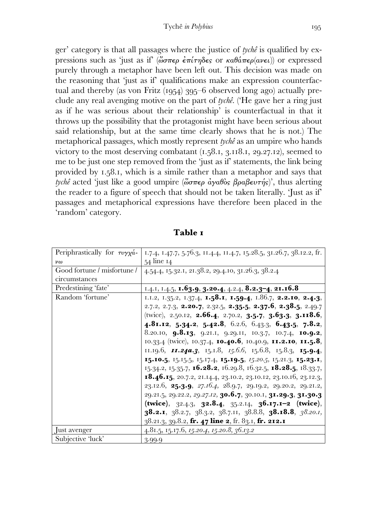ger' category is that all passages where the justice of *tychê* is qualified by expressions such as 'just as if' ( $\omega \sigma \pi \epsilon \rho \epsilon \pi \pi \eta \delta \epsilon$  or  $\kappa \alpha \theta \alpha \pi \epsilon \rho (\alpha \nu \epsilon \iota)$ ) or expressed purely through a metaphor have been left out. This decision was made on the reasoning that 'just as if' qualifications make an expression counterfactual and thereby (as von Fritz  $(1954)$  395–6 observed long ago) actually preclude any real avenging motive on the part of *tychê*. ('He gave her a ring just as if he was serious about their relationship' is counterfactual in that it throws up the possibility that the protagonist might have been serious about said relationship, but at the same time clearly shows that he is not.) The metaphorical passages, which mostly represent *tychê* as an umpire who hands victory to the most deserving combatant  $(1.58.1, 3.118.1, 29.27.12)$ , seemed to me to be just one step removed from the 'just as if' statements, the link being provided by 1.58.1, which is a simile rather than a metaphor and says that *tychê* acted 'just like a good umpire (ὥσπερ ἀγαθὸς βραβευτής)', thus alerting the reader to a figure of speech that should not be taken literally. 'Just as if' passages and metaphorical expressions have therefore been placed in the 'random' category.

| Periphrastically for $\tau \nu \gamma \chi \dot{\alpha}$ - | 1.7.4, 1.47.7, 5.76.3, 11.4.4, 11.4.7, 15.28.5, 31.26.7, 38.12.2, fr.                                        |
|------------------------------------------------------------|--------------------------------------------------------------------------------------------------------------|
| $\nu\omega$                                                | 54 line 14                                                                                                   |
| Good fortune / misfortune /                                | 4.54.4, 15.32.1, 21.38.2, 29.4.10, 31.26.3, 38.2.4                                                           |
| circumstances                                              |                                                                                                              |
| Predestining 'fate'                                        | 1.4.1, 1.4.5, <b>1.63.9, 3.20.4</b> , 4.2.4, <b>8.2.3-4</b> , <b>21.16.8</b>                                 |
| Random 'fortune'                                           | 1.1.2, 1.35.2, 1.37.4, 1.58.1, 1.59.4, 1.86.7, 2.2.10, 2.4.3,                                                |
|                                                            | 2.7.2, 2.7.3, <b>2.20.7</b> , 2.32.5, <b>2.35.5, 2.37.6, 2.38.5</b> , 2.49.7                                 |
|                                                            | (twice), 2.50.12, <b>2.66.4</b> , 2.70.2, <b>3.5.7</b> , <b>3.63.3</b> , <b>3.118.6</b> ,                    |
|                                                            | 4.81.12, 5.34.2, 5.42.8, 6.2.6, 6.43.3, 6.43.5, 7.8.2,                                                       |
|                                                            | 8.20.10, <b>9.8.13</b> , 9.21.1, 9.29.11, 10.3.7, 10.7.4, <b>10.9.2</b> ,                                    |
|                                                            | 10.33.4 (twice), 10.37.4, 10.40.6, 10.40.9, 11.2.10, 11.5.8,                                                 |
|                                                            | 11.19.6, <b>11.24a.3</b> , 15.1.8, 15.6.6, 15.6.8, 15.8.3, <b>15.9.4</b> ,                                   |
|                                                            | 15.10.5, 15.15.5, 15.17.4, 15.19.5, 15.20.5, 15.21.3, 15.23.1,                                               |
|                                                            | 15.34.2, 15.35.7, <b>16.28.2</b> , 16.29.8, 16.32.5, <b>18.28.5</b> , 18.33.7,                               |
|                                                            | <b>18.46.15</b> , 20.7.2, 21.14.4, 23.10.2, 23.10.12, 23.10.16, 23.12.3,                                     |
|                                                            | 23.12.6, <b>25.3.9</b> , <i>27.16.4</i> , <i>28.9.7</i> , <i>29.19.2</i> , <i>29.20.2</i> , <i>29.21.2</i> , |
|                                                            | 29.21.5, 29.22.2, 29.27.12, 30.6.7, 30.10.1, 31.29.3, 31.30.3                                                |
|                                                            | (twice), $32.4.3$ , $32.8.4$ , $35.2.14$ , $36.17.1 - 2$ (twice),                                            |
|                                                            | <b>38.2.1</b> , 38.2.7, 38.3.2, 38.7.11, 38.8.8, <b>38.18.8</b> , 38.20.1,                                   |
|                                                            | 38.21.3, 39.8.2, fr. 47 line 2, fr. 83.1, fr. 212.1                                                          |
| Just avenger                                               | 4.81.5, 15.17.6, 15.20.4, 15.20.8, 36.13.2                                                                   |
| Subjective 'luck'                                          | 3.99.9                                                                                                       |

**Table**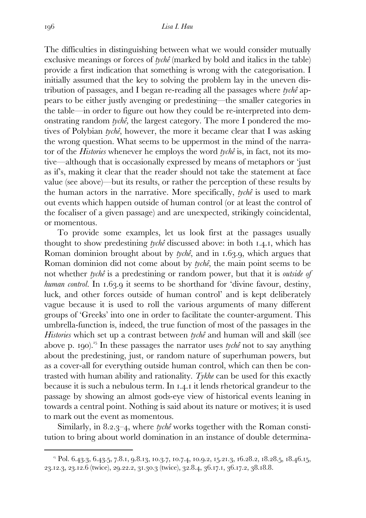The difficulties in distinguishing between what we would consider mutually exclusive meanings or forces of *tychê* (marked by bold and italics in the table) provide a first indication that something is wrong with the categorisation. I initially assumed that the key to solving the problem lay in the uneven distribution of passages, and I began re-reading all the passages where *tychê* appears to be either justly avenging or predestining—the smaller categories in the table—in order to figure out how they could be re-interpreted into demonstrating random *tychê,* the largest category. The more I pondered the motives of Polybian *tychê*, however, the more it became clear that I was asking the wrong question. What seems to be uppermost in the mind of the narrator of the *Histories* whenever he employs the word *tychê* is, in fact, not its motive—although that is occasionally expressed by means of metaphors or 'just as if's, making it clear that the reader should not take the statement at face value (see above)—but its results, or rather the perception of these results by the human actors in the narrative. More specifically, *tychê* is used to mark out events which happen outside of human control (or at least the control of the focaliser of a given passage) and are unexpected, strikingly coincidental, or momentous.

 To provide some examples, let us look first at the passages usually thought to show predestining *tychê* discussed above: in both 1.4.1, which has Roman dominion brought about by *tychê*, and in 1.63.9, which argues that Roman dominion did not come about by *tychê*, the main point seems to be not whether *tychê* is a predestining or random power, but that it is *outside of human control*. In 1.63.9 it seems to be shorthand for 'divine favour, destiny, luck, and other forces outside of human control' and is kept deliberately vague because it is used to roll the various arguments of many different groups of 'Greeks' into one in order to facilitate the counter-argument. This umbrella-function is, indeed, the true function of most of the passages in the *Histories* which set up a contrast between *tychê* and human will and skill (see above p. 190).<sup>25</sup> In these passages the narrator uses *tychê* not to say anything about the predestining, just, or random nature of superhuman powers, but as a cover-all for everything outside human control, which can then be contrasted with human ability and rationality. *Tykhe* can be used for this exactly because it is such a nebulous term. In 1.4.1 it lends rhetorical grandeur to the passage by showing an almost gods-eye view of historical events leaning in towards a central point. Nothing is said about its nature or motives; it is used to mark out the event as momentous.

Similarly, in 8.2.3–4, where *tychê* works together with the Roman constitution to bring about world domination in an instance of double determina-

 $3^{35}$  Pol. 6.43.3, 6.43.5, 7.8.1, 9.8.13, 10.3.7, 10.7.4, 10.9.2, 15.21.3, 16.28.2, 18.28.5, 18.46.15, 23.12.3, 23.12.6 (twice), 29.22.2, 31.30.3 (twice), 32.8.4, 36.17.1, 36.17.2, 38.18.8.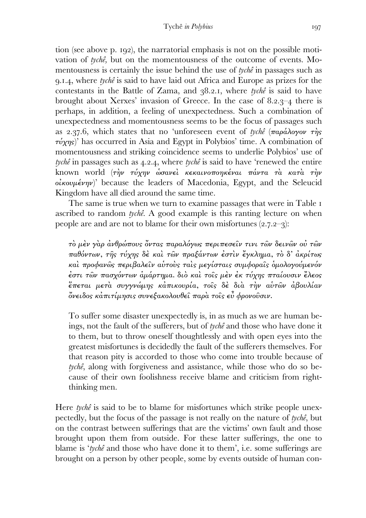tion (see above p. 192), the narratorial emphasis is not on the possible motivation of *tychê,* but on the momentousness of the outcome of events. Momentousness is certainly the issue behind the use of *tychê* in passages such as .., where *tychê* is said to have laid out Africa and Europe as prizes for the contestants in the Battle of Zama, and 38.2.1, where *tychê* is said to have brought about Xerxes' invasion of Greece. In the case of  $8.2.3 - 4$  there is perhaps, in addition, a feeling of unexpectedness. Such a combination of unexpectedness and momentousness seems to be the focus of passages such as 2.37.6, which states that no 'unforeseen event of *tychê*  $(\pi a \rho \dot{\alpha} \lambda o \gamma o \nu \tau \dot{\eta} s)$  $\tau\dot{\nu}\chi\eta s$ <sup>'</sup> has occurred in Asia and Egypt in Polybios' time. A combination of momentousness and striking coincidence seems to underlie Polybios' use of  $t$ *ychê* in passages such as  $4.2.4$ , where  $t$ *ychê* is said to have 'renewed the entire known world (την τύχην ώσανεί κεκαινοποηκέναι πάντα τα κατά την  $oikov\mu\acute{ev}\eta v$ )' because the leaders of Macedonia, Egypt, and the Seleucid Kingdom have all died around the same time.

The same is true when we turn to examine passages that were in Table I ascribed to random *tychê*. A good example is this ranting lecture on when people are and are not to blame for their own misfortunes  $(2.7.2-3)$ :

τὸ µὲν γὰρ ἀνθρώπους ὄντας παραλόγως περιπεσεῖν τινι τῶν δεινῶν οὐ τῶν παθόντων, τῆς τύχης δὲ καὶ τῶν πραξάντων ἐστὶν ἔγκληµα, τὸ δ' ἀκρίτως καὶ προφανῶς περιβαλεῖν αὑτοὺς ταὶς µεγίσταις συµφοραῖς ὁµολογούµενόν ἐστι τῶν πασχόντων ἁµάρτηµα. διὸ καὶ τοῖς µὲν ἐκ τύχης πταίουσιν ἔλεος ἕπεται µετὰ συγγνώµης κἀπικουρία, τοῖς δὲ διὰ τὴν αὑτῶν ἀβουλίαν ὄνειδος κἀπιτίµησις συνεξακολουθεῖ παρὰ τοῖς εὖ φρονοῦσιν.

To suffer some disaster unexpectedly is, in as much as we are human beings, not the fault of the sufferers, but of *tychê* and those who have done it to them, but to throw oneself thoughtlessly and with open eyes into the greatest misfortunes is decidedly the fault of the sufferers themselves. For that reason pity is accorded to those who come into trouble because of *tychê*, along with forgiveness and assistance, while those who do so because of their own foolishness receive blame and criticism from rightthinking men.

Here *tychê* is said to be to blame for misfortunes which strike people unexpectedly, but the focus of the passage is not really on the nature of *tychê*, but on the contrast between sufferings that are the victims' own fault and those brought upon them from outside. For these latter sufferings, the one to blame is '*tychê* and those who have done it to them', i.e. some sufferings are brought on a person by other people, some by events outside of human con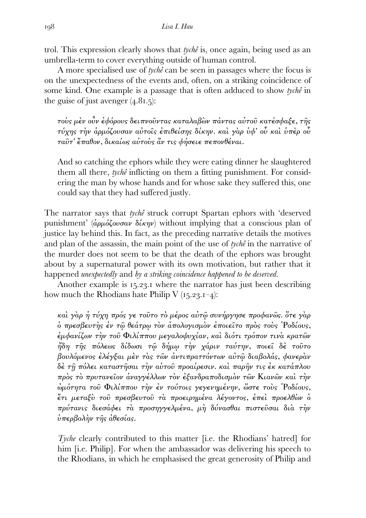trol. This expression clearly shows that *tychê* is, once again, being used as an umbrella-term to cover everything outside of human control.

 A more specialised use of *tychê* can be seen in passages where the focus is on the unexpectedness of the events and, often, on a striking coincidence of some kind. One example is a passage that is often adduced to show *tychê* in the guise of just avenger  $(4.81.5)$ :

τοὺς µὲν οὖν ἐφόρους δειπνοῦντας καταλαβὼν πάντας αὐτοῦ κατέσφαξε, τῆς τύχης τὴν ἁρµόζουσαν αὐτοῖς ἐπιθείσης δίκην. καὶ γὰρ ὑφ' οὗ καὶ ὑπὲρ οὗ ταῦτ' ἔπαθον, δικαίως αὐτοὺς ἄν τις φήσειε πεπονθέναι.

And so catching the ephors while they were eating dinner he slaughtered them all there, *tychê* inflicting on them a fitting punishment. For considering the man by whose hands and for whose sake they suffered this, one could say that they had suffered justly.

The narrator says that *tychê* struck corrupt Spartan ephors with 'deserved punishment' (άρμόζουσαν δίκην) without implying that a conscious plan of justice lay behind this. In fact, as the preceding narrative details the motives and plan of the assassin, the main point of the use of *tychê* in the narrative of the murder does not seem to be that the death of the ephors was brought about by a supernatural power with its own motivation, but rather that it happened *unexpectedly* and *by a striking coincidence happened to be deserved*.

Another example is 15.23.1 where the narrator has just been describing how much the Rhodians hate Philip V  $(15.23.1-4)$ :

καὶ γὰρ ἡ τύχη πρός γε τοῦτο τὸ µέρος αὐτῷ συνήργησε προφανῶς. ὅτε γὰρ ὁ πρεσβευτὴς ἐν τῷ θεάτρῳ τὸν ἀπολογισµὸν ἐποιεῖτο πρὸς τοὺς Ῥοδίους, ἐµφανίζων τὴν τοῦ Φιλίππου µεγαλοψυχίαν, καὶ διότι τρόπον τινὰ κρατῶν ἤδη τῆς πόλεως δίδωσι τῷ δήµῳ τὴν χάριν ταύτην, ποιεῖ δὲ τοῦτο βουλόµενος ἐλέγξαι µὲν τὰς τῶν ἀντιπραττόντων αὐτῷ διαβολάς, φανερὰν δὲ τῇ πόλει καταστῆσαι τὴν αὑτοῦ προαίρεσιν. καὶ παρῆν τις ἐκ κατάπλου πρὸς τὸ πρυτανεῖον ἀναγγέλλων τὸν ἐξανδραποδισµὸν τῶν Κιανῶν καὶ τὴν ὠµότητα τοῦ Φιλίππου τὴν ἐν τούτοις γεγενηµένην, ὥστε τοὺς Ῥοδίους, ἔτι µεταξὺ τοῦ πρεσβευτοῦ τὰ προειρηµένα λέγοντος, ἐπεὶ προελθὼν ὁ πρύτανις διεσάφει τὰ προσηγγελµένα, µὴ δύνασθαι πιστεῦσαι διὰ τὴν ὑπερβολὴν τῆς ἀθεσίας.

*Tyche* clearly contributed to this matter *[i.e.* the Rhodians' hatred] for him [i.e. Philip]. For when the ambassador was delivering his speech to the Rhodians, in which he emphasised the great generosity of Philip and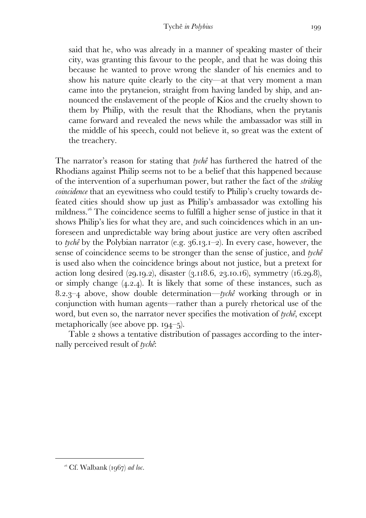said that he, who was already in a manner of speaking master of their city, was granting this favour to the people, and that he was doing this because he wanted to prove wrong the slander of his enemies and to show his nature quite clearly to the city—at that very moment a man came into the prytaneion, straight from having landed by ship, and announced the enslavement of the people of Kios and the cruelty shown to them by Philip, with the result that the Rhodians, when the prytanis came forward and revealed the news while the ambassador was still in the middle of his speech, could not believe it, so great was the extent of the treachery.

The narrator's reason for stating that *tychê* has furthered the hatred of the Rhodians against Philip seems not to be a belief that this happened because of the intervention of a superhuman power, but rather the fact of the *striking coincidence* that an eyewitness who could testify to Philip's cruelty towards defeated cities should show up just as Philip's ambassador was extolling his mildness.<sup>26</sup> The coincidence seems to fulfill a higher sense of justice in that it shows Philip's lies for what they are, and such coincidences which in an unforeseen and unpredictable way bring about justice are very often ascribed to *tychê* by the Polybian narrator (e.g. 36.13.1–2). In every case, however, the sense of coincidence seems to be stronger than the sense of justice, and *tychê* is used also when the coincidence brings about not justice, but a pretext for action long desired  $(29.19.2)$ , disaster  $(3.118.6, 23.10.16)$ , symmetry  $(16.29.8)$ , or simply change  $(4.2.4)$ . It is likely that some of these instances, such as ..– above, show double determination—*tychê* working through or in conjunction with human agents—rather than a purely rhetorical use of the word, but even so, the narrator never specifies the motivation of *tychê*, except metaphorically (see above pp.  $194-5$ ).

Table 2 shows a tentative distribution of passages according to the internally perceived result of *tychê*:

 $^{\alpha}$ <sup>6</sup> Cf. Walbank (1967) *ad loc.*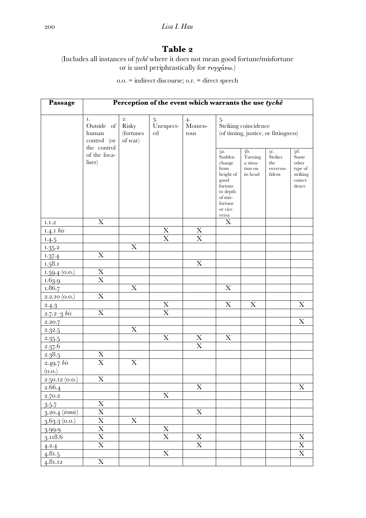## **Table**

(Includes all instances of *tychê* where it does not mean good fortune/misfortune or is used periphrastically for  $\tau v \gamma \chi^2 \omega \omega$ .)

.. = indirect discourse; o.r. = direct speech

| Passage         | Perception of the event which warrants the use tychê                              |                                     |                       |                         |                                                                                                           |                                                                              |                                                                                            |                                                                                 |
|-----------------|-----------------------------------------------------------------------------------|-------------------------------------|-----------------------|-------------------------|-----------------------------------------------------------------------------------------------------------|------------------------------------------------------------------------------|--------------------------------------------------------------------------------------------|---------------------------------------------------------------------------------|
|                 | Ι.<br>Outside of<br>human<br>control (or<br>the control<br>of the foca-<br>liser) | 2.<br>Risky<br>(fortunes<br>of war) | 3.<br>Unexpect-<br>ed | 4.<br>Momen-<br>tous    | $5-$<br>5a.<br>Sudden<br>change<br>from<br>height of<br>good<br>fortune<br>to depth<br>of mis-<br>fortune | Striking coincidence<br>$5b$ .<br>Turning<br>a situa-<br>tion on<br>its head | (of timing, justice, or fittingness)<br>5c.<br><b>Strikes</b><br>the<br>overcon-<br>fident | 5d.<br>Some<br>other<br>type of<br>striking<br>$\operatorname{coinci}$<br>dence |
|                 |                                                                                   |                                     |                       |                         | or vice<br>versa                                                                                          |                                                                              |                                                                                            |                                                                                 |
| $_{\rm I.I.2}$  | X                                                                                 |                                     |                       |                         | X                                                                                                         |                                                                              |                                                                                            |                                                                                 |
| $1.4.1$ bis     |                                                                                   |                                     | X                     | $\mathbf X$             |                                                                                                           |                                                                              |                                                                                            |                                                                                 |
| 1.4.5           |                                                                                   |                                     | $\overline{\text{X}}$ | $\overline{\text{X}}$   |                                                                                                           |                                                                              |                                                                                            |                                                                                 |
| 1.35.2          |                                                                                   | $\boldsymbol{\mathrm{X}}$           |                       |                         |                                                                                                           |                                                                              |                                                                                            |                                                                                 |
| 1.37.4          | X                                                                                 |                                     |                       |                         |                                                                                                           |                                                                              |                                                                                            |                                                                                 |
| 1.58.1          |                                                                                   |                                     |                       | X                       |                                                                                                           |                                                                              |                                                                                            |                                                                                 |
| $1.59.4$ (0.0.) | X                                                                                 |                                     |                       |                         |                                                                                                           |                                                                              |                                                                                            |                                                                                 |
| 1.63.9          | X                                                                                 |                                     |                       |                         |                                                                                                           |                                                                              |                                                                                            |                                                                                 |
| 1.86.7          |                                                                                   | X                                   |                       |                         | X                                                                                                         |                                                                              |                                                                                            |                                                                                 |
| 2.2.10(0.0.)    | X                                                                                 |                                     |                       |                         |                                                                                                           |                                                                              |                                                                                            |                                                                                 |
| 2.4.3           |                                                                                   |                                     | X                     |                         | $\boldsymbol{\mathrm{X}}$                                                                                 | X                                                                            |                                                                                            | X                                                                               |
| $2.7.2 - 3$ bis | $\mathbf X$                                                                       |                                     | $\mathbf X$           |                         |                                                                                                           |                                                                              |                                                                                            |                                                                                 |
| 2.20.7          |                                                                                   |                                     |                       |                         |                                                                                                           |                                                                              |                                                                                            | $\boldsymbol{\mathrm{X}}$                                                       |
| 2.32.5          |                                                                                   | X                                   |                       |                         |                                                                                                           |                                                                              |                                                                                            |                                                                                 |
| 2.35.5          |                                                                                   |                                     | $\mathbf X$           | X                       | $\mathbf X$                                                                                               |                                                                              |                                                                                            |                                                                                 |
| 2.37.6          |                                                                                   |                                     |                       | $\mathbf X$             |                                                                                                           |                                                                              |                                                                                            |                                                                                 |
| 2.38.5          | $\boldsymbol{\mathrm{X}}$                                                         |                                     |                       |                         |                                                                                                           |                                                                              |                                                                                            |                                                                                 |
| 2.49.7 b        | X                                                                                 | X                                   |                       |                         |                                                                                                           |                                                                              |                                                                                            |                                                                                 |
| (0.0.)          |                                                                                   |                                     |                       |                         |                                                                                                           |                                                                              |                                                                                            |                                                                                 |
| 2.50.12(0.0.)   | $\mathbf X$                                                                       |                                     |                       |                         |                                                                                                           |                                                                              |                                                                                            |                                                                                 |
| 2.66.4          |                                                                                   |                                     |                       | $\mathbf X$             |                                                                                                           |                                                                              |                                                                                            | X                                                                               |
| 2.70.2          |                                                                                   |                                     | $\mathbf X$           |                         |                                                                                                           |                                                                              |                                                                                            |                                                                                 |
| 3.5.7           | $\mathbf X$                                                                       |                                     |                       |                         |                                                                                                           |                                                                              |                                                                                            |                                                                                 |
| 3.20.4 (ironic) | $\overline{\mathbf{X}}$                                                           |                                     |                       | $\mathbf X$             |                                                                                                           |                                                                              |                                                                                            |                                                                                 |
| $3.63.3$ (0.0.) | $\overline{\text{X}}$                                                             | $\mathbf X$                         |                       |                         |                                                                                                           |                                                                              |                                                                                            |                                                                                 |
| 3.99.9          | $\overline{X}$                                                                    |                                     | $\mathbf X$           |                         |                                                                                                           |                                                                              |                                                                                            |                                                                                 |
| 3.118.6         | $\overline{X}$                                                                    |                                     | $\mathbf X$           | $\mathbf X$             |                                                                                                           |                                                                              |                                                                                            | $\mathbf X$                                                                     |
| 4.2.4           | $\overline{\text{X}}$                                                             |                                     |                       | $\overline{\mathbf{X}}$ |                                                                                                           |                                                                              |                                                                                            | $\overline{\mathbf{X}}$                                                         |
| 4.81.5          |                                                                                   |                                     | $\overline{\text{X}}$ |                         |                                                                                                           |                                                                              |                                                                                            | $\overline{\mathbf{X}}$                                                         |
| 4.81.12         | $\overline{\text{X}}$                                                             |                                     |                       |                         |                                                                                                           |                                                                              |                                                                                            |                                                                                 |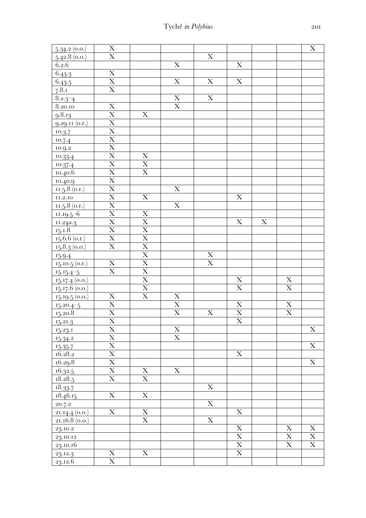| 5.34.2(0.0)      | $\mathbf X$                         |                                 |                         |                         |                         |             |                         | $\mathbf X$             |
|------------------|-------------------------------------|---------------------------------|-------------------------|-------------------------|-------------------------|-------------|-------------------------|-------------------------|
| 5.42.8(0.0)      | $\overline{\mathrm{X}}$             |                                 |                         | $\overline{\mathbf{X}}$ |                         |             |                         |                         |
| 6.2.6            |                                     |                                 | $\mathbf X$             |                         | $\mathbf X$             |             |                         |                         |
| 6.43.3           | $\mathbf X$                         |                                 |                         |                         |                         |             |                         |                         |
| 6.43.5           | $\overline{\mathbf{X}}$             |                                 | $\mathbf X$             | $\overline{\mathbf{X}}$ | $\overline{\mathbf{X}}$ |             |                         |                         |
| 7.8.1            | $\overline{\mathbf{X}}$             |                                 |                         |                         |                         |             |                         |                         |
| $8.2.3 - 4$      |                                     |                                 | $\mathbf X$             | $\mathbf X$             |                         |             |                         |                         |
| 8.20.10          | $\mathbf X$                         |                                 | $\overline{\mathbf{X}}$ |                         |                         |             |                         |                         |
| 9.8.13           | $\overline{\text{X}}$               | $\mathbf X$                     |                         |                         |                         |             |                         |                         |
| $9.29.11$ (o.r.) | $\overline{X}$                      |                                 |                         |                         |                         |             |                         |                         |
| 10.3.7           |                                     |                                 |                         |                         |                         |             |                         |                         |
| 10.7.4           | $\frac{\overline{X}}{\overline{X}}$ |                                 |                         |                         |                         |             |                         |                         |
| 10.9.2           | $\overline{\text{X}}$               |                                 |                         |                         |                         |             |                         |                         |
| 10.33.4          |                                     |                                 |                         |                         |                         |             |                         |                         |
| 10.37.4          | $\frac{\text{X}}{\text{X}}$         | $\frac{\mathbf{X}}{\mathbf{X}}$ |                         |                         |                         |             |                         |                         |
| 10.40.6          | $\overline{X}$                      | $\overline{\mathbf{X}}$         |                         |                         |                         |             |                         |                         |
| 10.40.9          | $\overline{\text{X}}$               |                                 |                         |                         |                         |             |                         |                         |
| $11.5.8$ (o.r.)  | $\overline{X}$                      |                                 | $\mathbf X$             |                         |                         |             |                         |                         |
| 11.2.10          |                                     | $\mathbf X$                     |                         |                         | $\mathbf X$             |             |                         |                         |
| 11.5.8 (0.1)     | $\frac{\overline{X}}{\overline{X}}$ |                                 | $\mathbf X$             |                         |                         |             |                         |                         |
| $11.19.5 - 6$    |                                     | $\mathbf X$                     |                         |                         |                         |             |                         |                         |
| 11.24a.3         | $\overline{\text{X}}$               | $\overline{\mathbf{X}}$         |                         |                         | $\overline{\text{X}}$   | $\mathbf X$ |                         |                         |
| 15.18            | $\overline{\mathbf{X}}$             | $\overline{\mathbf{X}}$         |                         |                         |                         |             |                         |                         |
| $15.6.6$ (o.r.)  | $\overline{X}$                      | $\overline{\textbf{X}}$         |                         |                         |                         |             |                         |                         |
| 15.8.3(0.0.)     | $\overline{\mathbf{X}}$             | $\overline{\mathbf{X}}$         |                         |                         |                         |             |                         |                         |
| 15.9.4           |                                     | $\overline{\mathbf{X}}$         |                         | $\mathbf X$             |                         |             |                         |                         |
| 15.10.5 (0.r.)   | $\mathbf X$                         | $\overline{\mathbf{X}}$         |                         | $\overline{\mathbf{X}}$ |                         |             |                         |                         |
| $15.15.4 - 5$    | $\mathbf X$                         | $\overline{\textbf{X}}$         |                         |                         |                         |             |                         |                         |
| 15.17.4(0.0.)    |                                     | $\overline{\mathbf{X}}$         |                         |                         | X                       |             | $\mathbf X$             |                         |
| $15.17.6$ (0.0.) |                                     | $\overline{\mathbf{X}}$         |                         |                         | $\overline{\mathbf{X}}$ |             | $\overline{\textbf{X}}$ |                         |
| 15.19.5(0.0.)    | $\mathbf X$                         | $\overline{\textbf{X}}$         | $\mathbf X$             |                         |                         |             |                         |                         |
| $15.20.4 - 5$    | $\overline{X}$                      |                                 | $\overline{\mathbf{X}}$ |                         | $\mathbf X$             |             | $\mathbf X$             |                         |
| 15.20.8          | $\overline{\text{X}}$               |                                 | $\overline{\textbf{X}}$ | $\mathbf X$             | $\overline{\mathbf{X}}$ |             | $\overline{\mathbf{X}}$ |                         |
| 15.21.3          | $\overline{\textbf{X}}$             |                                 |                         |                         | $\overline{\mathbf{X}}$ |             |                         |                         |
| 15.23.1          | $\mathbf X$                         |                                 | $\mathbf X$             |                         |                         |             |                         | $\mathbf X$             |
| 15.34.2          | $\overline{X}$                      |                                 | $\overline{\text{X}}$   |                         |                         |             |                         |                         |
| 15.35.7          | $\overline{X}$                      |                                 |                         |                         |                         |             |                         | $\mathbf X$             |
| 16.28.2          | $\overline{\text{X}}$               |                                 |                         |                         | $\mathbf X$             |             |                         |                         |
| 16.29.8          | $\overline{\text{X}}$               |                                 |                         |                         |                         |             |                         | $\overline{\mathbf{X}}$ |
| 16.32.5          | $\overline{X}$                      | $\mathbf X$                     | $\overline{\mathbf{X}}$ |                         |                         |             |                         |                         |
| 18.28.5          | $\overline{\text{X}}$               | $\overline{\text{X}}$           |                         |                         |                         |             |                         |                         |
| 18.33.7          |                                     |                                 |                         | $\mathbf X$             |                         |             |                         |                         |
| 18.46.15         | $\overline{\text{X}}$               | $\overline{\text{X}}$           |                         |                         |                         |             |                         |                         |
| 20.7.2           |                                     |                                 |                         | $\overline{\mathbf{X}}$ |                         |             |                         |                         |
| 21.14.4 (0.0.)   | $\overline{\mathbf{X}}$             | $\overline{\mathbf{X}}$         |                         |                         | $\mathbf X$             |             |                         |                         |
| $21.16.8$ (0.0.) |                                     | $\mathbf X$                     |                         | $\mathbf X$             |                         |             |                         |                         |
| 23.10.2          |                                     |                                 |                         |                         | $\mathbf X$             |             | $\mathbf X$             | $\mathbf X$             |
| 23.10.12         |                                     |                                 |                         |                         | $\mathbf X$             |             | $\mathbf X$             | $\overline{X}$          |
| 23.10.16         |                                     |                                 |                         |                         | $\mathbf X$             |             | $\mathbf X$             | $\mathbf X$             |
| 23.12.3          | $\mathbf X$                         | $\mathbf X$                     |                         |                         | $\overline{\mathbf{X}}$ |             |                         |                         |
| 23.12.6          | $\overline{\text{X}}$               |                                 |                         |                         |                         |             |                         |                         |
|                  |                                     |                                 |                         |                         |                         |             |                         |                         |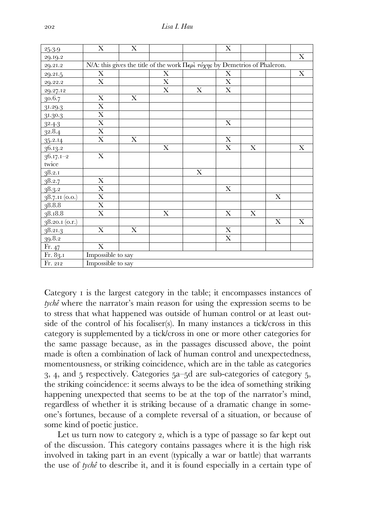| 25.3.9                       | X                                                                                                                      | $\mathbf X$ |             |             | $\mathbf X$             |                           |                           |             |  |
|------------------------------|------------------------------------------------------------------------------------------------------------------------|-------------|-------------|-------------|-------------------------|---------------------------|---------------------------|-------------|--|
| 29.19.2                      |                                                                                                                        |             |             |             |                         |                           |                           | $\mathbf X$ |  |
| 29.21.2                      | N/A: this gives the title of the work $\Pi \epsilon \rho \hat{i} \tau \hat{j} \gamma \eta s$ by Demetrios of Phaleron. |             |             |             |                         |                           |                           |             |  |
| 29.21.5                      | X                                                                                                                      |             | $\mathbf X$ |             | X                       |                           |                           | $\mathbf X$ |  |
| 29.22.2                      | $\mathbf X$                                                                                                            |             | X           |             | $\mathbf X$             |                           |                           |             |  |
| 29.27.12                     |                                                                                                                        |             | $\mathbf X$ | $\mathbf X$ | $\mathbf X$             |                           |                           |             |  |
| 30.6.7                       | $\mathbf X$                                                                                                            | $\mathbf X$ |             |             |                         |                           |                           |             |  |
| 31.29.3                      | $\mathbf X$                                                                                                            |             |             |             |                         |                           |                           |             |  |
| 31.30.3                      | $\overline{\text{X}}$                                                                                                  |             |             |             |                         |                           |                           |             |  |
| 32.4.3                       | $\overline{\text{X}}$                                                                                                  |             |             |             | $\mathbf X$             |                           |                           |             |  |
| 32.8.4                       | $\overline{\text{X}}$                                                                                                  |             |             |             |                         |                           |                           |             |  |
| 35.2.14                      | $\mathbf X$                                                                                                            | X           |             |             | $\mathbf X$             |                           |                           |             |  |
| 36.13.2                      |                                                                                                                        |             | $\mathbf X$ |             | $\mathbf X$             | X                         |                           | $\mathbf X$ |  |
| $36.17.1 - 2$                | $\overline{\text{X}}$                                                                                                  |             |             |             |                         |                           |                           |             |  |
| twice                        |                                                                                                                        |             |             |             |                         |                           |                           |             |  |
| 38.2.1                       |                                                                                                                        |             |             | $\mathbf X$ |                         |                           |                           |             |  |
| 38.2.7                       | $\overline{\text{X}}$                                                                                                  |             |             |             |                         |                           |                           |             |  |
| $\frac{1}{3}8.3.2$           | $\overline{\text{X}}$                                                                                                  |             |             |             | $\mathbf X$             |                           |                           |             |  |
| 38.7.11(0.0.)                | $\overline{\text{X}}$                                                                                                  |             |             |             |                         |                           | $\boldsymbol{\mathrm{X}}$ |             |  |
| 38.8.8                       | $\overline{\mathbf{X}}$                                                                                                |             |             |             |                         |                           |                           |             |  |
| 38.18.8                      | $\mathbf X$                                                                                                            |             | $\mathbf X$ |             | X                       | $\boldsymbol{\mathrm{X}}$ |                           |             |  |
| $38.20.1\ (\overline{0.r.})$ |                                                                                                                        |             |             |             |                         |                           | $\mathbf X$               | $\mathbf X$ |  |
| 38.21.3                      | $\overline{\text{X}}$                                                                                                  | $\mathbf X$ |             |             | $\overline{\mathbf{X}}$ |                           |                           |             |  |
| 39.8.2                       |                                                                                                                        |             |             |             | $\mathbf X$             |                           |                           |             |  |
| Fr.47                        | $\mathbf X$                                                                                                            |             |             |             |                         |                           |                           |             |  |
| Fr. 83.1                     | Impossible to say                                                                                                      |             |             |             |                         |                           |                           |             |  |
| Fr. 212                      | Impossible to say                                                                                                      |             |             |             |                         |                           |                           |             |  |

Category *i* is the largest category in the table; it encompasses instances of *tychê* where the narrator's main reason for using the expression seems to be to stress that what happened was outside of human control or at least outside of the control of his focaliser(s). In many instances a tick/cross in this category is supplemented by a tick/cross in one or more other categories for the same passage because, as in the passages discussed above, the point made is often a combination of lack of human control and unexpectedness, momentousness, or striking coincidence, which are in the table as categories  $3, 4$ , and  $5$  respectively. Categories  $5a-5d$  are sub-categories of category  $5$ , the striking coincidence: it seems always to be the idea of something striking happening unexpected that seems to be at the top of the narrator's mind, regardless of whether it is striking because of a dramatic change in someone's fortunes, because of a complete reversal of a situation, or because of some kind of poetic justice.

Let us turn now to category 2, which is a type of passage so far kept out of the discussion. This category contains passages where it is the high risk involved in taking part in an event (typically a war or battle) that warrants the use of *tychê* to describe it, and it is found especially in a certain type of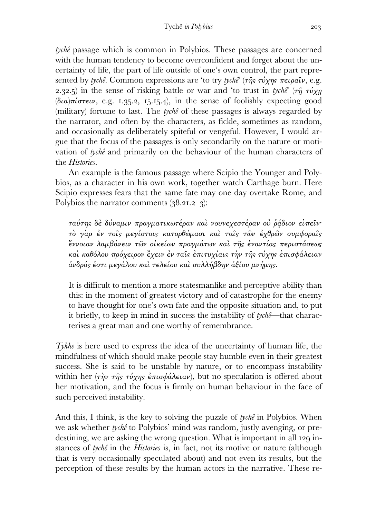*tychê* passage which is common in Polybios. These passages are concerned with the human tendency to become overconfident and forget about the uncertainty of life, the part of life outside of one's own control, the part represented by *tychê*. Common expressions are 'to try *tychê*' (τῆς τύχης πειραῖν, e.g. 2.32.5) in the sense of risking battle or war and 'to trust in *tychê*' ( $\tau \hat{\eta}$   $\tau \nu \chi \eta$  $(\delta \iota \alpha)$ πίστειν, e.g. 1.35.2, 15.15.4), in the sense of foolishly expecting good (military) fortune to last. The *tychê* of these passages is always regarded by the narrator, and often by the characters, as fickle, sometimes as random, and occasionally as deliberately spiteful or vengeful. However, I would argue that the focus of the passages is only secondarily on the nature or motivation of *tychê* and primarily on the behaviour of the human characters of the *Histories*.

 An example is the famous passage where Scipio the Younger and Polybios, as a character in his own work, together watch Carthage burn. Here Scipio expresses fears that the same fate may one day overtake Rome, and Polybios the narrator comments  $(38.21.2-3)$ :

ταύτης δὲ δύναµιν πραγµατικωτέραν καὶ νουνεχεστέραν οὐ ῥᾴδιον εἰπεῖν· τὸ γὰρ ἐν τοῖς µεγίστοις κατορθώµασι καὶ ταῖς τῶν ἐχθρῶν συµφοραῖς ἔννοιαν λαµβάνειν τῶν οἰκείων πραγµάτων καὶ τῆς ἐναντίας περιστάσεως καὶ καθόλου πρόχειρον ἔχειν ἐν ταῖς ἐπιτυχίαις τὴν τῆς τύχης ἐπισφάλειαν ἀνδρός ἐστι µεγάλου καὶ τελείου καὶ συλλήβδην ἀξίου µνήµης.

It is difficult to mention a more statesmanlike and perceptive ability than this: in the moment of greatest victory and of catastrophe for the enemy to have thought for one's own fate and the opposite situation and, to put it briefly, to keep in mind in success the instability of *tychê*—that characterises a great man and one worthy of remembrance.

*Tykhe* is here used to express the idea of the uncertainty of human life, the mindfulness of which should make people stay humble even in their greatest success. She is said to be unstable by nature, or to encompass instability within her (την της τύχης έπισφάλειαν), but no speculation is offered about her motivation, and the focus is firmly on human behaviour in the face of such perceived instability.

And this, I think, is the key to solving the puzzle of *tychê* in Polybios. When we ask whether *tychê* to Polybios' mind was random, justly avenging, or predestining, we are asking the wrong question. What is important in all 129 instances of *tychê* in the *Histories* is, in fact, not its motive or nature (although that is very occasionally speculated about) and not even its results, but the perception of these results by the human actors in the narrative. These re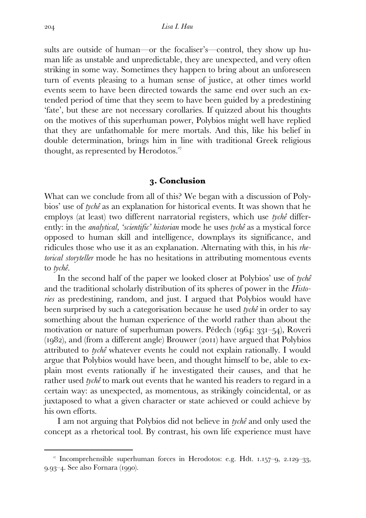sults are outside of human—or the focaliser's—control, they show up human life as unstable and unpredictable, they are unexpected, and very often striking in some way. Sometimes they happen to bring about an unforeseen turn of events pleasing to a human sense of justice, at other times world events seem to have been directed towards the same end over such an extended period of time that they seem to have been guided by a predestining 'fate', but these are not necessary corollaries. If quizzed about his thoughts on the motives of this superhuman power, Polybios might well have replied that they are unfathomable for mere mortals. And this, like his belief in double determination, brings him in line with traditional Greek religious thought, as represented by Herodotos.

#### **. Conclusion**

What can we conclude from all of this? We began with a discussion of Polybios' use of *tychê* as an explanation for historical events. It was shown that he employs (at least) two different narratorial registers, which use *tychê* differently: in the *analytical, 'scientific' historian* mode he uses *tychê* as a mystical force opposed to human skill and intelligence, downplays its significance, and ridicules those who use it as an explanation. Alternating with this, in his *rhetorical storyteller* mode he has no hesitations in attributing momentous events to *tychê*.

 In the second half of the paper we looked closer at Polybios' use of *tychê* and the traditional scholarly distribution of its spheres of power in the *Histories* as predestining, random, and just. I argued that Polybios would have been surprised by such a categorisation because he used *tychê* in order to say something about the human experience of the world rather than about the motivation or nature of superhuman powers. Pédech  $(1064: 331-54)$ , Roveri  $(1982)$ , and (from a different angle) Brouwer  $(2011)$  have argued that Polybios attributed to *tychê* whatever events he could not explain rationally. I would argue that Polybios would have been, and thought himself to be, able to explain most events rationally if he investigated their causes, and that he rather used *tychê* to mark out events that he wanted his readers to regard in a certain way: as unexpected, as momentous, as strikingly coincidental, or as juxtaposed to what a given character or state achieved or could achieve by his own efforts.

 I am not arguing that Polybios did not believe in *tychê* and only used the concept as a rhetorical tool. By contrast, his own life experience must have

<sup>&</sup>lt;sup>7</sup> Incomprehensible superhuman forces in Herodotos: e.g. Hdt.  $1.157-9$ ,  $2.129-33$ , 9.93-4. See also Fornara (1990).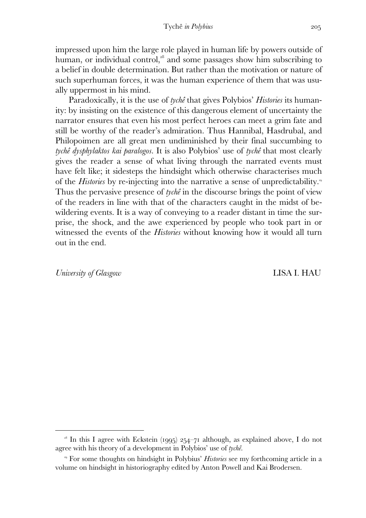impressed upon him the large role played in human life by powers outside of human, or individual control, $a<sup>8</sup>$  and some passages show him subscribing to a belief in double determination. But rather than the motivation or nature of such superhuman forces, it was the human experience of them that was usually uppermost in his mind.

 Paradoxically, it is the use of *tychê* that gives Polybios' *Histories* its humanity: by insisting on the existence of this dangerous element of uncertainty the narrator ensures that even his most perfect heroes can meet a grim fate and still be worthy of the reader's admiration. Thus Hannibal, Hasdrubal, and Philopoimen are all great men undiminished by their final succumbing to *tychê dysphylaktos kai paralogos.* It is also Polybios' use of *tychê* that most clearly gives the reader a sense of what living through the narrated events must have felt like; it sidesteps the hindsight which otherwise characterises much of the *Histories* by re-injecting into the narrative a sense of unpredictability. Thus the pervasive presence of *tychê* in the discourse brings the point of view of the readers in line with that of the characters caught in the midst of bewildering events. It is a way of conveying to a reader distant in time the surprise, the shock, and the awe experienced by people who took part in or witnessed the events of the *Histories* without knowing how it would all turn out in the end.

*University of Glasgow* LISA I. HAU

<sup>&</sup>lt;sup>28</sup> In this I agree with Eckstein (1995) 254–71 although, as explained above, I do not agree with his theory of a development in Polybios' use of *tychê*.

<sup>&</sup>lt;sup>29</sup> For some thoughts on hindsight in Polybius' *Histories* see my forthcoming article in a volume on hindsight in historiography edited by Anton Powell and Kai Brodersen.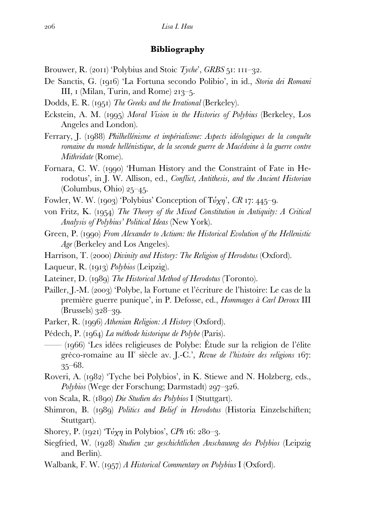### **Bibliography**

- Brouwer, R. (2011) 'Polybius and Stoic *Tyche*', *GRBS* 51: 111-32.
- De Sanctis, G. (1916) 'La Fortuna secondo Polibio', in id., *Storia dei Romani* III,  $I$  (Milan, Turin, and Rome) 213–5.
- Dodds, E. R. (1951) The Greeks and the Irrational (Berkeley).
- Eckstein, A. M. () *Moral Vision in the Histories of Polybius* (Berkeley, Los Angeles and London).
- Ferrary, J. () *Philhellénisme et impérialisme: Aspects idéologiques de la conquête romaine du monde hellénistique, de la seconde guerre de Macédoine à la guerre contre Mithridate* (Rome).
- Fornara, C. W. (1990) 'Human History and the Constraint of Fate in Herodotus', in J. W. Allison, ed., *Conflict, Antithesis, and the Ancient Historian* (Columbus, Ohio)  $25-45$ .
- Fowler, W. W. (1903) 'Polybius' Conception of  $\text{T} \acute{\nu} \chi \eta$ ', *CR* 17: 445-9.
- von Fritz, K. (1954) The Theory of the Mixed Constitution in Antiquity: A Critical *Analysis of Polybius' Political Ideas* (New York).
- Green, P. (1990) *From Alexander to Actium: the Historical Evolution of the Hellenistic Age* (Berkeley and Los Angeles).
- Harrison, T. (2000) *Divinity and History: The Religion of Herodotus* (Oxford).
- Laqueur, R. (1913) *Polybios* (Leipzig).
- Lateiner, D. (1989) The Historical Method of Herodotus (Toronto).
- Pailler, J.-M. (2003) 'Polybe, la Fortune et l'écriture de l'histoire: Le cas de la première guerre punique', in P. Defosse, ed., *Hommages à Carl Deroux* III  $(Brussels)$  328–39.
- Parker, R. (1996) *Athenian Religion: A History* (Oxford).
- Pédech, P. (1964) *La méthode historique de Polybe* (Paris).
- —— () 'Les idées religieuses de Polybe: Étude sur la religion de l'élite gréco-romaine au II<sup>e</sup> siècle av. J.-C.', *Revue de l'histoire des religions* 167:  $35 - 68.$
- Roveri, A. (1982) 'Tyche bei Polybios', in K. Stiewe and N. Holzberg, eds., *Polybios* (Wege der Forschung; Darmstadt) 297–326.
- von Scala, R. () *Die Studien des Polybios* I (Stuttgart).
- Shimron, B. (1989) *Politics and Belief in Herodotus* (Historia Einzelschiften; Stuttgart).
- Shorey, P. (1921) ' $\text{T\'{v}x\eta}$  in Polybios', *CPh* 16: 280–3.
- Siegfried, W. () *Studien zur geschichtlichen Anschauung des Polybios* (Leipzig and Berlin).
- Walbank, F. W. (1957) *A Historical Commentary on Polybius I* (Oxford).